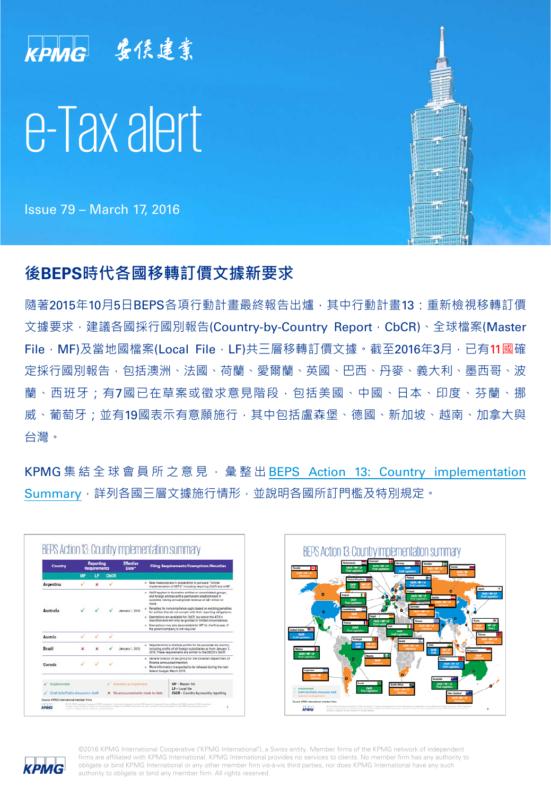

Issue 79 – March 17, 2016

# **後BEPS時代各國移轉訂價文據新要求**

隨著2015年10月5日BFPS各項行動計書最終報告出爐,其中行動計書13·重新檢視移轉訂價 文據要求,建議各國採行國別報告(Country-by-Country Report, CbCR)、全球檔案(Master File,MF)及當地國檔案(Local File,LF)共三層移轉訂價文據。截至2016年3月,已有11國確 定採行國別報告,包括澳洲、法國、荷蘭、愛爾蘭、英國、巴西、丹麥、義大利、墨西哥、波 蘭、西班牙;有7國已在草案或徵求意見階段,包括美國、中國、日本、印度、芬蘭、挪 威、葡萄牙;並有19國表示有意願施行,其中包括盧森堡、德國、新加坡、越南、加拿大與 台灣。

KPMG 集結全球會員所之意見, 彙整出 BEPS Action 13: Country [implementation](http://www.kpmg-institutes.com/content/dam/kpmg/taxwatch/pdf/2016/beps-action-13-country implementation summary.pdf) [Summary](http://www.kpmg-institutes.com/content/dam/kpmg/taxwatch/pdf/2016/beps-action-13-country implementation summary.pdf), 詳列各國三層文據施行情形, 並說明各國所訂門檻及特別規定。







©2016 KPMG International Cooperative ("KPMG International"), a Swiss entity. Member firms of the KPMG network of independent firms are affiliated with KPMG International. KPMG International provides no services to clients. No member firm has any authority to obligate or bind KPMG International or any other member firm vis-à-vis third parties, nor does KPMG International have any such authority to obligate or bind any member firm. All rights reserved.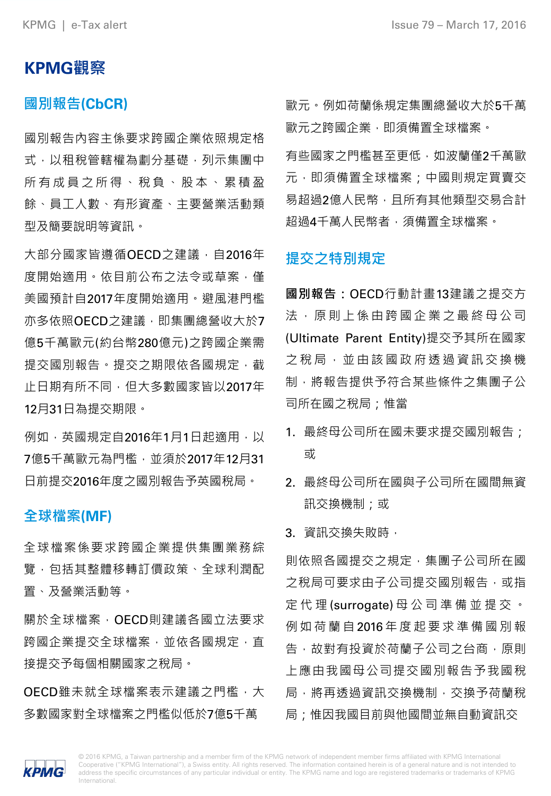## **KPMG觀察**

### **國別報告(CbCR)**

國別報告內容主係要求跨國企業依照規定格 式,以租稅管轄權為劃分基礎,列示集團中 所有成員之所得、稅負、 股本、 累積盈 餘、員工人數、有形資產、主要營業活動類 型及簡要說明等資訊。

大部分國家皆遵循OECD之建議 · 自2016年 度開始適用。依目前公布之法令或草案,僅 美國預計自2017年度開始適用。避風港門檻 亦多依照OECD之建議, 即集團總營收大於7 億5千萬歐元(約台幣280億元)之跨國企業需 提交國別報告。提交之期限依各國規定,截 止日期有所不同,但大多數國家皆以2017年 12月31日為提交期限。

例如,英國規定自2016年1月1日起適用,以 7億5千萬歐元為門檻,並須於2017年12月31 日前提交2016年度之國別報告予英國稅局。

### **全球檔案(MF)**

全球檔案係要求跨國企業提供集團業務綜 覽,包括其整體移轉訂價政策、全球利潤配 置、及營業活動等。

關於全球檔案, OECD則建議各國立法要求 跨國企業提交全球檔案,並依各國規定,直 接提交予每個相關國家之稅局。

OECD雖未就全球檔案表示建議之門檻, 大 多數國家對全球檔案之門檻似低於7億5千萬

歐元。例如荷蘭係規定集團總營收大於5千萬 歐元之跨國企業,即須備置全球檔案。

有些國家之門檻甚至更低,如波蘭僅2千萬歐 元, 即須備置全球檔案; 中國則規定買賣交 易超過2億人民幣,且所有其他類型交易合計 超過4千萬人民幣者,須備置全球檔案。

#### **提交之特別規定**

**國別報告:**OECD行動計畫13建議之提交方 法 , 原則上係由跨國企業之最終母公司 (Ultimate Parent Entity)提交予其所在國家 之稅局, 並由該國政府透過資訊交換機 制,將報告提供予符合某些條件之集團子公 司所在國之稅局;惟當

- 1. 最終母公司所在國未要求提交國別報告; 或
- 2. 最終母公司所在國與子公司所在國間無資 訊交換機制;或

#### 3. 資訊交換失敗時,

則依照各國提交之規定,集團子公司所在國 **之稅局可要求由子公司提交國別報告,或指** 定代理 (surrogate) 母公司準備並提交 。 例如荷蘭自 2016 年度起要求準備國別報 告,故對有投資於荷蘭子公司之台商,原則 上應由我國母公司提交國別報告予我國稅 局,將再透過資訊交換機制,交換予荷蘭稅 局;惟因我國目前與他國間並無自動資訊交